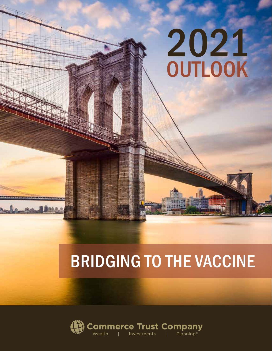# BRIDGING TO THE VACCINE

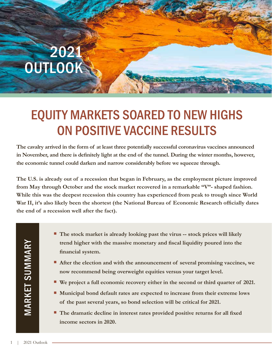### EQUITY MARKETS SOARED TO NEW HIGHS ON POSITIVE VACCINE RESULTS

**The cavalry arrived in the form of at least three potentially successful coronavirus vaccines announced in November, and there is definitely light at the end of the tunnel. During the winter months, however, the economic tunnel could darken and narrow considerably before we squeeze through.**

**The U.S. is already out of a recession that began in February, as the employment picture improved from May through October and the stock market recovered in a remarkable "V"- shaped fashion. While this was the deepest recession this country has experienced from peak to trough since World War II, it's also likely been the shortest (the National Bureau of Economic Research officially dates the end of a recession well after the fact).** 

**MARKET SUMMARY** MARKET SUMMARY

- **The stock market is already looking past the virus -- stock prices will likely trend higher with the massive monetary and fiscal liquidity poured into the financial system.**
- **After the election and with the announcement of several promising vaccines, we now recommend being overweight equities versus your target level.**
- **We project a full economic recovery either in the second or third quarter of 2021.**
- **Municipal bond default rates are expected to increase from their extreme lows of the past several years, so bond selection will be critical for 2021.**
- **The dramatic decline in interest rates provided positive returns for all fixed income sectors in 2020.**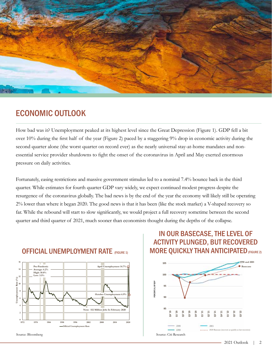

### ECONOMIC OUTLOOK

How bad was it? Unemployment peaked at its highest level since the Great Depression (Figure 1). GDP fell a bit over 10% during the first half of the year (Figure 2) paced by a staggering 9% drop in economic activity during the second quarter alone (the worst quarter on record ever) as the nearly universal stay-at-home mandates and nonessential service provider shutdowns to fight the onset of the coronavirus in April and May exerted enormous pressure on daily activities.

Fortunately, easing restrictions and massive government stimulus led to a nominal 7.4% bounce back in the third quarter. While estimates for fourth quarter GDP vary widely, we expect continued modest progress despite the resurgence of the coronavirus globally. The bad news is by the end of the year the economy will likely still be operating 2% lower than where it began 2020. The good news is that it has been (like the stock market) a V-shaped recovery so far. While the rebound will start to slow significantly, we would project a full recovery sometime between the second quarter and third quarter of 2021, much sooner than economists thought during the depths of the collapse.



#### OFFICIAL UNEMPLOYMENT RATE (FIGURE 1)

### ACTIVITY PLUNGED, BUT RECOVERED **MORE QUICKLY THAN ANTICIPATED** (FIGURE 2) IN OUR BASECASE, THE LEVEL OF

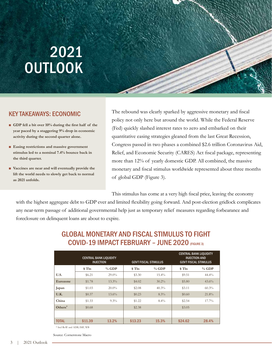#### KEY TAKEAWAYS: ECONOMIC

- GDP fell a bit over 10% during the first half of the **year paced by a staggering 9% drop in economic activity during the second quarter alone.**
- **Easing restrictions and massive government stimulus led to a nominal 7.4% bounce back in the third quarter.**
- **Vaccines are near and will eventually provide the lift the world needs to slowly get back to normal as 2021 unfolds.**

The rebound was clearly sparked by aggressive monetary and fiscal policy not only here but around the world. While the Federal Reserve (Fed) quickly slashed interest rates to zero and embarked on their quantitative easing strategies gleaned from the last Great Recession, Congress passed in two phases a combined \$2.6 trillion Coronavirus Aid, Relief, and Economic Security (CARES) Act fiscal package, representing more than 12% of yearly domestic GDP. All combined, the massive monetary and fiscal stimulus worldwide represented about three months of global GDP (Figure 3).

This stimulus has come at a very high fiscal price, leaving the economy

3

with the highest aggregate debt to GDP ever and limited flexibility going forward. And post-election gridlock complicates any near-term passage of additional governmental help just as temporary relief measures regarding forbearance and foreclosure on delinquent loans are about to expire.

|              | <b>CENTRAL BANK LIQUIDITY</b><br><b>INJECTION</b> |          | <b>GOVT FISCAL STIMULUS</b> |          | <b>CENTRAL BANK LIQUIDITY</b><br><b>INJECTION AND</b><br><b>GOVT FISCAL STIMULUS</b> |          |
|--------------|---------------------------------------------------|----------|-----------------------------|----------|--------------------------------------------------------------------------------------|----------|
|              | \$ Tln                                            | $%$ GDP  | \$ Tln                      | % GDP    | \$T <sub>ln</sub>                                                                    | % GDP    |
| U.S.         | \$6.21                                            | $29.0\%$ | \$3.30                      | $15.4\%$ | \$9.51                                                                               | 44.4%    |
| Eurozone     | \$1.78                                            | $13.3\%$ | \$4.02                      | $30.2\%$ | \$5.80                                                                               | $43.6\%$ |
| Japan        | \$1.03                                            | $20.0\%$ | \$2.08                      | 40.3%    | \$3.11                                                                               | 60.3%    |
| U.K.         | \$0.37                                            | $13.6\%$ | \$0.23                      | 8.3%     | \$0.60                                                                               | 21.8%    |
| China        | \$1.33                                            | $9.3\%$  | \$1.22                      | $8.4\%$  | \$2.54                                                                               | 17.7%    |
| Others*      | \$0.68                                            |          | \$2.38                      |          | \$3.05                                                                               |          |
|              |                                                   |          |                             |          |                                                                                      |          |
| <b>TOTAL</b> | \$11.39                                           | 13.2%    | \$13.23                     | 15.3%    | \$24.62                                                                              | 28.4%    |

#### COVID-19 IMPACT FEBRUARY - JUNE 2020 (FIGURE 3) **FEBRUARY – JUNE 2020** GLOBAL MONETARY AND FISCAL STIMULUS TO FIGHT

\* Incl RoW and ADB, IMF, WB

*Source: Cornerstone Macro* Source: Cornerstone Macro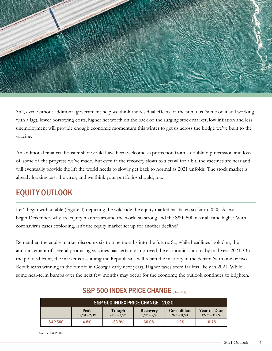

Still, even without additional government help we think the residual effects of the stimulus (some of it still working with a lag), lower borrowing costs, higher net worth on the back of the surging stock market, low inflation and less unemployment will provide enough economic momentum this winter to get us across the bridge we've built to the vaccine.

An additional financial booster shot would have been welcome as protection from a double-dip recession and loss of some of the progress we've made. But even if the recovery slows to a crawl for a bit, the vaccines are near and will eventually provide the lift the world needs to slowly get back to normal as 2021 unfolds. The stock market is already looking past the virus, and we think your portfolios should, too.

### EQUITY OUTLOOK

Let's begin with a table (Figure 4) depicting the wild ride the equity market has taken so far in 2020. As we begin December, why are equity markets around the world so strong and the S&P 500 near all-time highs? With coronavirus cases exploding, isn't the equity market set up for another decline?

Remember, the equity market discounts six to nine months into the future. So, while headlines look dim, the announcement of several promising vaccines has certainly improved the economic outlook by mid-year 2021. On the political front, the market is assuming the Republicans will retain the majority in the Senate (with one or two are pontical front, the market is assuming the Republicans will fetam the majority in the senate (with one of tw<br>Republicans winning in the runoff in Georgia early next year). Higher taxes seem far less likely in 2021. Whi some near-term bumps over the next few months may occur for the economy, the outlook continues to brighten.

| S&P 500 INDEX PRICE CHANGE - 2020 |                        |                         |                          |                              |                                 |  |  |  |  |
|-----------------------------------|------------------------|-------------------------|--------------------------|------------------------------|---------------------------------|--|--|--|--|
|                                   | Peak<br>$12/31 - 2/19$ | Trough<br>$2/19 - 3/23$ | Recovery<br>$3/23 - 9/2$ | Consolidate<br>$9/2 - 11/24$ | Year-to-Date<br>$12/31 - 11/24$ |  |  |  |  |
| <b>S&amp;P 500</b>                | 4.8%                   | $-33.9%$                | 60.0%                    | 1.2%                         | 10.7%                           |  |  |  |  |

#### S&P 500 INDEX PRICE CHANGE (FIGURE 4)

Source: S&P 500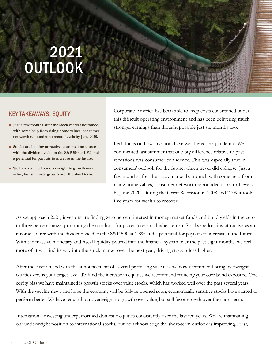#### KEY TAKEAWAYS: EQUITY

- **Just a few months after the stock market bottomed, with some help from rising home values, consumer net worth rebounded to record levels by June 2020.**
- Stocks are looking attractive as an income source **with the dividend yield on the S&P 500 at 1.8% and a potential for payouts to increase in the future.**
- **We have reduced our overweight to growth over value, but still favor growth over the short term.**

Corporate America has been able to keep costs constrained under this difficult operating environment and has been delivering much stronger earnings than thought possible just six months ago.

Let's focus on how investors have weathered the pandemic. We commented last summer that one big difference relative to past recessions was consumer confidence. This was especially true in consumers' outlook for the future, which never did collapse. Just a few months after the stock market bottomed, with some help from rising home values, consumer net worth rebounded to record levels by June 2020. During the Great Recession in 2008 and 2009 it took five years for wealth to recover.

As we approach 2021, investors are finding zero percent interest in money market funds and bond yields in the zero to three percent range, prompting them to look for places to earn a higher return. Stocks are looking attractive as an income source with the dividend yield on the S&P 500 at 1.8% and a potential for payouts to increase in the future. With the massive monetary and fiscal liquidity poured into the financial system over the past eight months, we feel more of it will find its way into the stock market over the next year, driving stock prices higher.

After the election and with the announcement of several promising vaccines, we now recommend being overweight equities versus your target level. To fund the increase in equities we recommend reducing your core bond exposure. One equity bias we have maintained is growth stocks over value stocks, which has worked well over the past several years. With the vaccine news and hope the economy will be fully re-opened soon, economically sensitive stocks have started to perform better. We have reduced our overweight to growth over value, but still favor growth over the short term.

International investing underperformed domestic equities consistently over the last ten years. We are maintaining our underweight position to international stocks, but do acknowledge the short-term outlook is improving. First,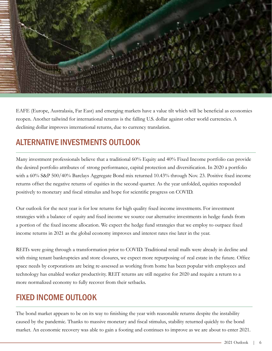

EAFE (Europe, Australasia, Far East) and emerging markets have a value tilt which will be beneficial as economies reopen. Another tailwind for international returns is the falling U.S. dollar against other world currencies. A declining dollar improves international returns, due to currency translation.

### ALTERNATIVE INVESTMENTS OUTLOOK

Many investment professionals believe that a traditional 60% Equity and 40% Fixed Income portfolio can provide the desired portfolio attributes of strong performance, capital protection and diversification. In 2020 a portfolio with a 60% S&P 500/40% Barclays Aggregate Bond mix returned 10.43% through Nov. 23. Positive fixed income returns offset the negative returns of equities in the second quarter. As the year unfolded, equities responded positively to monetary and fiscal stimulus and hope for scientific progress on COVID.

Our outlook for the next year is for low returns for high quality fixed income investments. For investment strategies with a balance of equity and fixed income we source our alternative investments in hedge funds from a portion of the fixed income allocation. We expect the hedge fund strategies that we employ to outpace fixed income returns in 2021 as the global economy improves and interest rates rise later in the year.

REITs were going through a transformation prior to COVID. Traditional retail malls were already in decline and with rising tenant bankruptcies and store closures, we expect more repurposing of real estate in the future. Office space needs by corporations are being re-assessed as working from home has been popular with employees and technology has enabled worker productivity. REIT returns are still negative for 2020 and require a return to a more normalized economy to fully recover from their setbacks.

### FIXED INCOME OUTLOOK

The bond market appears to be on its way to finishing the year with reasonable returns despite the instability caused by the pandemic. Thanks to massive monetary and fiscal stimulus, stability returned quickly to the bond market. An economic recovery was able to gain a footing and continues to improve as we are about to enter 2021.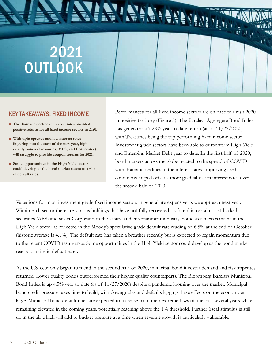#### KEY TAKEAWAYS: FIXED INCOME

- The dramatic decline in interest rates provided **positive returns for all fixed income sectors in 2020.**
- **With tight spreads and low interest rates lingering into the start of the new year, high quality bonds (Treasuries, MBS, and Corporates) will struggle to provide coupon returns for 2021.**
- Some opportunities in the High Yield sector **could develop as the bond market reacts to a rise in default rates.**

Performances for all fixed income sectors are on pace to finish 2020 in positive territory (Figure 5). The Barclays Aggregate Bond Index has generated a 7.28% year-to-date return (as of 11/27/2020) with Treasuries being the top performing fixed income sector. Investment grade sectors have been able to outperform High Yield and Emerging Market Debt year-to-date. In the first half of 2020, bond markets across the globe reacted to the spread of COVID with dramatic declines in the interest rates. Improving credit conditions helped offset a more gradual rise in interest rates over the second half of 2020.

FATERE TATIL

 $\frac{1}{2} \sum_{i=1}^n \frac{1}{i!} \int \frac{1}{\sqrt{2}}$ 

Valuations for most investment grade fixed income sectors in general are expensive as we approach next year. Within each sector there are various holdings that have not fully recovered, as found in certain asset-backed securities (ABS) and select Corporates in the leisure and entertainment industry. Some weakness remains in the High Yield sector as reflected in the Moody's speculative grade default rate reading of 6.5% at the end of October (historic average is 4.1%). The default rate has taken a breather recently but is expected to regain momentum due to the recent COVID resurgence. Some opportunities in the High Yield sector could develop as the bond market reacts to a rise in default rates.

As the U.S. economy began to mend in the second half of 2020, municipal bond investor demand and risk appetites returned. Lower quality bonds outperformed their higher quality counterparts. The Bloomberg Barclays Municipal Bond Index is up 4.5% year-to-date (as of 11/27/2020) despite a pandemic looming over the market. Municipal bond credit pressure takes time to build, with downgrades and defaults lagging these effects on the economy at large. Municipal bond default rates are expected to increase from their extreme lows of the past several years while remaining elevated in the coming years, potentially reaching above the 1% threshold. Further fiscal stimulus is still up in the air which will add to budget pressure at a time when revenue growth is particularly vulnerable.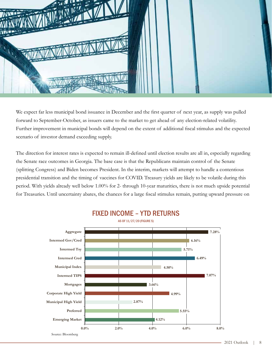

We expect far less municipal bond issuance in December and the first quarter of next year, as supply was pulled forward to September-October, as issuers came to the market to get ahead of any election-related volatility. Further improvement in municipal bonds will depend on the extent of additional fiscal stimulus and the expected scenario of investor demand exceeding supply.

The direction for interest rates is expected to remain ill-defined until election results are all in, especially regarding the Senate race outcomes in Georgia. The base case is that the Republicans maintain control of the Senate (splitting Congress) and Biden becomes President. In the interim, markets will attempt to handle a contentious presidential transition and the timing of vaccines for COVID. Treasury yields are likely to be volatile during this period. With yields already well below 1.00% for 2- through 10-year maturities, there is not much upside potential for Treasuries. Until uncertainty abates, the chances for a large fiscal stimulus remain, putting upward pressure on



FIXED INCOME – YTD RETURNS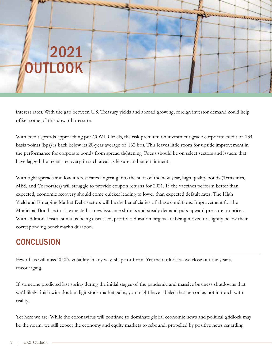interest rates. With the gap between U.S. Treasury yields and abroad growing, foreign investor demand could help offset some of this upward pressure.

With credit spreads approaching pre-COVID levels, the risk premium on investment grade corporate credit of 134 basis points (bps) is back below its 20-year average of 162 bps. This leaves little room for upside improvement in the performance for corporate bonds from spread tightening. Focus should be on select sectors and issuers that have lagged the recent recovery, in such areas as leisure and entertainment.

With tight spreads and low interest rates lingering into the start of the new year, high quality bonds (Treasuries, MBS, and Corporates) will struggle to provide coupon returns for 2021. If the vaccines perform better than expected, economic recovery should come quicker leading to lower than expected default rates. The High Yield and Emerging Market Debt sectors will be the beneficiaries of these conditions. Improvement for the Municipal Bond sector is expected as new issuance shrinks and steady demand puts upward pressure on prices. With additional fiscal stimulus being discussed, portfolio duration targets are being moved to slightly below their corresponding benchmark's duration.

### **CONCLUSION**

Few of us will miss 2020's volatility in any way, shape or form. Yet the outlook as we close out the year is encouraging.

If someone predicted last spring during the initial stages of the pandemic and massive business shutdowns that we'd likely finish with double-digit stock market gains, you might have labeled that person as not in touch with reality.

Yet here we are. While the coronavirus will continue to dominate global economic news and political gridlock may be the norm, we still expect the economy and equity markets to rebound, propelled by positive news regarding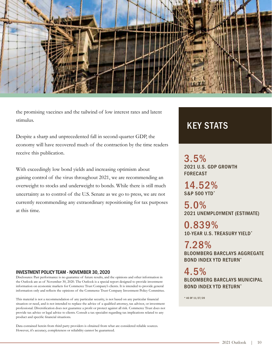

the promising vaccines and the tailwind of low interest rates and latent stimulus.

Despite a sharp and unprecedented fall in second-quarter GDP, the economy will have recovered much of the contraction by the time readers receive this publication.

With exceedingly low bond yields and increasing optimism about gaining control of the virus throughout 2021, we are recommending an overweight to stocks and underweight to bonds. While there is still much uncertainty as to control of the U.S. Senate as we go to press, we are not currently recommending any extraordinary repositioning for tax purposes at this time.

#### INVESTMENT POLICY TEAM - NOVEMBER 30, 2020

Disclosures: Past performance is no guarantee of future results, and the opinions and other information in the Outlook are as of November 30, 2020. The Outlook is a special report designed to provide investment information on economic markets for Commerce Trust Company's clients. It is intended to provide general information only and reflects the opinions of the Commerce Trust Company Investment Policy Committee.

This material is not a recommendation of any particular security, is not based on any particular financial situation or need, and is not intended to replace the advice of a qualified attorney, tax advisor, or investment professional. Diversification does not guarantee a profit or protect against all risk. Commerce Trust does not provide tax advice or legal advice to clients. Consult a tax specialist regarding tax implications related to any product and specific financial situations.

Data contained herein from third party providers is obtained from what are considered reliable sources. However, it's accuracy, completeness or reliability cannot be guaranteed.

### KEY STATS

3.5% 2021 U.S. GDP GROWTH FORECAST

14.52% S&P 500 YTD\*

5.0% 2021 UNEMPLOYMENT (ESTIMATE)

0.839% 10-YEAR U.S. TREASURY YIELD\*

7.28% BLOOMBERG BARCLAYS AGGREGATE BOND INDEX YTD RETURN\*

4.5% BLOOMBERG BARCLAYS MUNICIPAL BOND INDEX YTD RETURN\*

\* AS OF 11/27/20